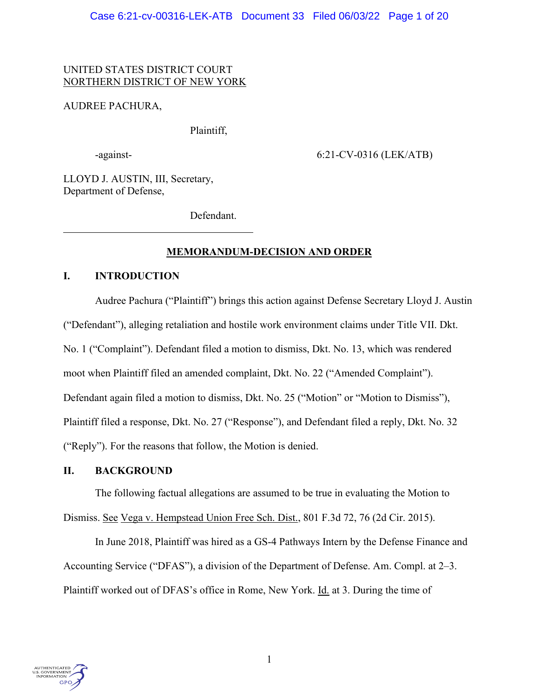## UNITED STATES DISTRICT COURT NORTHERN DISTRICT OF NEW YORK

## AUDREE PACHURA,

Plaintiff,

-against- 6:21-CV-0316 (LEK/ATB)

LLOYD J. AUSTIN, III, Secretary, Department of Defense,

Defendant.

# **MEMORANDUM-DECISION AND ORDER**

## **I. INTRODUCTION**

Audree Pachura ("Plaintiff") brings this action against Defense Secretary Lloyd J. Austin ("Defendant"), alleging retaliation and hostile work environment claims under Title VII. Dkt. No. 1 ("Complaint"). Defendant filed a motion to dismiss, Dkt. No. 13, which was rendered moot when Plaintiff filed an amended complaint, Dkt. No. 22 ("Amended Complaint"). Defendant again filed a motion to dismiss, Dkt. No. 25 ("Motion" or "Motion to Dismiss"), Plaintiff filed a response, Dkt. No. 27 ("Response"), and Defendant filed a reply, Dkt. No. 32 ("Reply"). For the reasons that follow, the Motion is denied.

## **II. BACKGROUND**

The following factual allegations are assumed to be true in evaluating the Motion to Dismiss. See Vega v. Hempstead Union Free Sch. Dist., 801 F.3d 72, 76 (2d Cir. 2015).

In June 2018, Plaintiff was hired as a GS-4 Pathways Intern by the Defense Finance and Accounting Service ("DFAS"), a division of the Department of Defense. Am. Compl. at 2–3. Plaintiff worked out of DFAS's office in Rome, New York. Id. at 3. During the time of

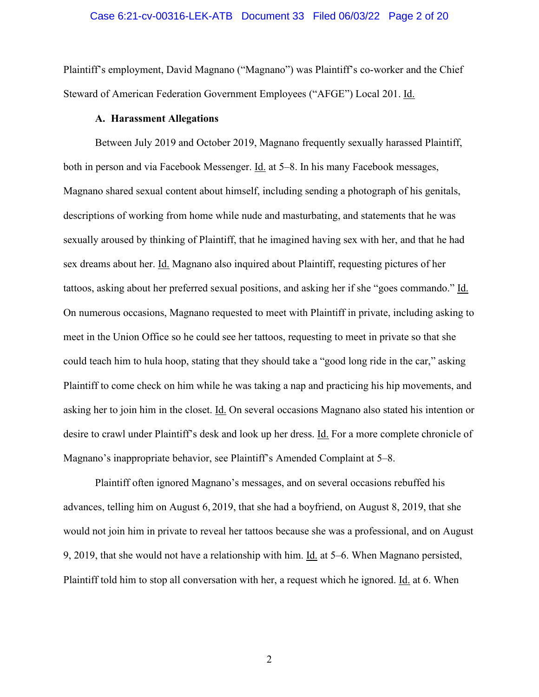### Case 6:21-cv-00316-LEK-ATB Document 33 Filed 06/03/22 Page 2 of 20

Plaintiff's employment, David Magnano ("Magnano") was Plaintiff's co-worker and the Chief Steward of American Federation Government Employees ("AFGE") Local 201. Id.

### **A. Harassment Allegations**

Between July 2019 and October 2019, Magnano frequently sexually harassed Plaintiff, both in person and via Facebook Messenger. Id. at 5–8. In his many Facebook messages, Magnano shared sexual content about himself, including sending a photograph of his genitals, descriptions of working from home while nude and masturbating, and statements that he was sexually aroused by thinking of Plaintiff, that he imagined having sex with her, and that he had sex dreams about her. Id. Magnano also inquired about Plaintiff, requesting pictures of her tattoos, asking about her preferred sexual positions, and asking her if she "goes commando." Id. On numerous occasions, Magnano requested to meet with Plaintiff in private, including asking to meet in the Union Office so he could see her tattoos, requesting to meet in private so that she could teach him to hula hoop, stating that they should take a "good long ride in the car," asking Plaintiff to come check on him while he was taking a nap and practicing his hip movements, and asking her to join him in the closet. Id. On several occasions Magnano also stated his intention or desire to crawl under Plaintiff's desk and look up her dress. Id. For a more complete chronicle of Magnano's inappropriate behavior, see Plaintiff's Amended Complaint at 5–8.

Plaintiff often ignored Magnano's messages, and on several occasions rebuffed his advances, telling him on August 6, 2019, that she had a boyfriend, on August 8, 2019, that she would not join him in private to reveal her tattoos because she was a professional, and on August 9, 2019, that she would not have a relationship with him. Id. at 5–6. When Magnano persisted, Plaintiff told him to stop all conversation with her, a request which he ignored. Id. at 6. When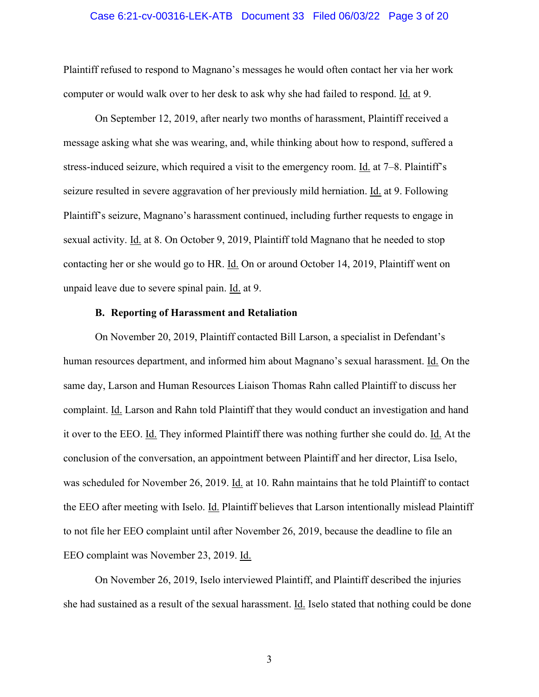### Case 6:21-cv-00316-LEK-ATB Document 33 Filed 06/03/22 Page 3 of 20

Plaintiff refused to respond to Magnano's messages he would often contact her via her work computer or would walk over to her desk to ask why she had failed to respond. Id. at 9.

On September 12, 2019, after nearly two months of harassment, Plaintiff received a message asking what she was wearing, and, while thinking about how to respond, suffered a stress-induced seizure, which required a visit to the emergency room. Id. at 7–8. Plaintiff's seizure resulted in severe aggravation of her previously mild herniation. Id. at 9. Following Plaintiff's seizure, Magnano's harassment continued, including further requests to engage in sexual activity. Id. at 8. On October 9, 2019, Plaintiff told Magnano that he needed to stop contacting her or she would go to HR. Id. On or around October 14, 2019, Plaintiff went on unpaid leave due to severe spinal pain. Id. at 9.

### **B. Reporting of Harassment and Retaliation**

On November 20, 2019, Plaintiff contacted Bill Larson, a specialist in Defendant's human resources department, and informed him about Magnano's sexual harassment. Id. On the same day, Larson and Human Resources Liaison Thomas Rahn called Plaintiff to discuss her complaint. Id. Larson and Rahn told Plaintiff that they would conduct an investigation and hand it over to the EEO. Id. They informed Plaintiff there was nothing further she could do. Id. At the conclusion of the conversation, an appointment between Plaintiff and her director, Lisa Iselo, was scheduled for November 26, 2019. Id. at 10. Rahn maintains that he told Plaintiff to contact the EEO after meeting with Iselo. Id. Plaintiff believes that Larson intentionally mislead Plaintiff to not file her EEO complaint until after November 26, 2019, because the deadline to file an EEO complaint was November 23, 2019. Id.

On November 26, 2019, Iselo interviewed Plaintiff, and Plaintiff described the injuries she had sustained as a result of the sexual harassment. Id. Iselo stated that nothing could be done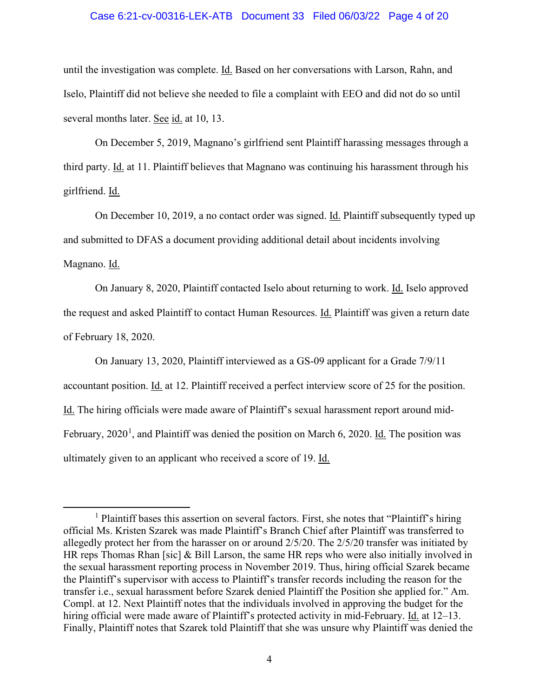### Case 6:21-cv-00316-LEK-ATB Document 33 Filed 06/03/22 Page 4 of 20

until the investigation was complete. Id. Based on her conversations with Larson, Rahn, and Iselo, Plaintiff did not believe she needed to file a complaint with EEO and did not do so until several months later. See id. at 10, 13.

On December 5, 2019, Magnano's girlfriend sent Plaintiff harassing messages through a third party. Id. at 11. Plaintiff believes that Magnano was continuing his harassment through his girlfriend. Id.

On December 10, 2019, a no contact order was signed. Id. Plaintiff subsequently typed up and submitted to DFAS a document providing additional detail about incidents involving Magnano. Id.

On January 8, 2020, Plaintiff contacted Iselo about returning to work. Id. Iselo approved the request and asked Plaintiff to contact Human Resources. Id. Plaintiff was given a return date of February 18, 2020.

On January 13, 2020, Plaintiff interviewed as a GS-09 applicant for a Grade 7/9/11 accountant position. Id. at 12. Plaintiff received a perfect interview score of 25 for the position. Id. The hiring officials were made aware of Plaintiff's sexual harassment report around mid-February, 2020<sup>1</sup>, and Plaintiff was denied the position on March 6, 2020. Id. The position was ultimately given to an applicant who received a score of 19. Id.

<sup>&</sup>lt;sup>1</sup> Plaintiff bases this assertion on several factors. First, she notes that "Plaintiff's hiring official Ms. Kristen Szarek was made Plaintiff's Branch Chief after Plaintiff was transferred to allegedly protect her from the harasser on or around 2/5/20. The 2/5/20 transfer was initiated by HR reps Thomas Rhan [sic] & Bill Larson, the same HR reps who were also initially involved in the sexual harassment reporting process in November 2019. Thus, hiring official Szarek became the Plaintiff's supervisor with access to Plaintiff's transfer records including the reason for the transfer i.e., sexual harassment before Szarek denied Plaintiff the Position she applied for." Am. Compl. at 12. Next Plaintiff notes that the individuals involved in approving the budget for the hiring official were made aware of Plaintiff's protected activity in mid-February. Id. at 12–13. Finally, Plaintiff notes that Szarek told Plaintiff that she was unsure why Plaintiff was denied the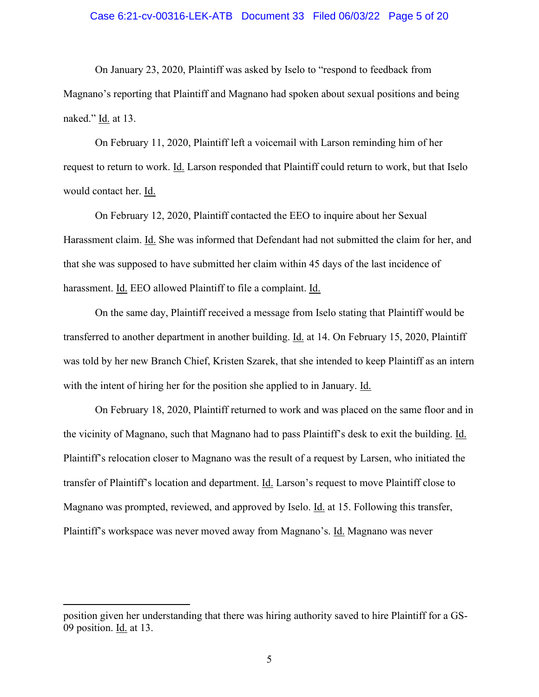### Case 6:21-cv-00316-LEK-ATB Document 33 Filed 06/03/22 Page 5 of 20

On January 23, 2020, Plaintiff was asked by Iselo to "respond to feedback from Magnano's reporting that Plaintiff and Magnano had spoken about sexual positions and being naked." Id. at 13.

On February 11, 2020, Plaintiff left a voicemail with Larson reminding him of her request to return to work. Id. Larson responded that Plaintiff could return to work, but that Iselo would contact her. Id.

On February 12, 2020, Plaintiff contacted the EEO to inquire about her Sexual Harassment claim. Id. She was informed that Defendant had not submitted the claim for her, and that she was supposed to have submitted her claim within 45 days of the last incidence of harassment. Id. EEO allowed Plaintiff to file a complaint. Id.

On the same day, Plaintiff received a message from Iselo stating that Plaintiff would be transferred to another department in another building. Id. at 14. On February 15, 2020, Plaintiff was told by her new Branch Chief, Kristen Szarek, that she intended to keep Plaintiff as an intern with the intent of hiring her for the position she applied to in January. Id.

On February 18, 2020, Plaintiff returned to work and was placed on the same floor and in the vicinity of Magnano, such that Magnano had to pass Plaintiff's desk to exit the building. Id. Plaintiff's relocation closer to Magnano was the result of a request by Larsen, who initiated the transfer of Plaintiff's location and department. Id. Larson's request to move Plaintiff close to Magnano was prompted, reviewed, and approved by Iselo. Id. at 15. Following this transfer, Plaintiff's workspace was never moved away from Magnano's. Id. Magnano was never

position given her understanding that there was hiring authority saved to hire Plaintiff for a GS-09 position. Id. at 13.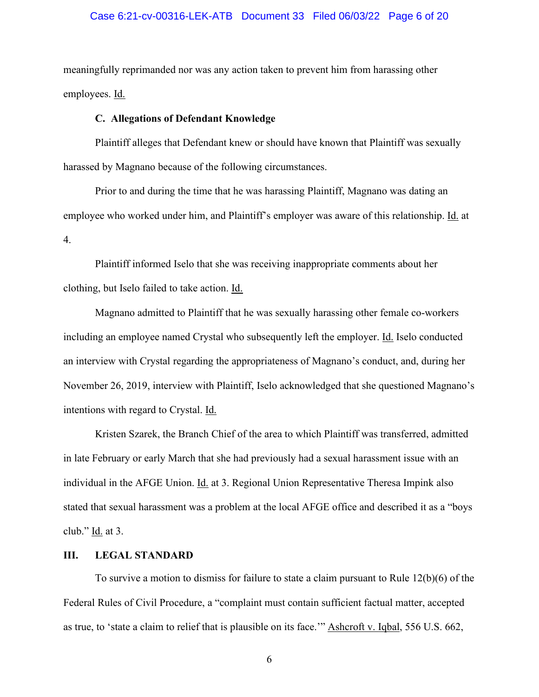### Case 6:21-cv-00316-LEK-ATB Document 33 Filed 06/03/22 Page 6 of 20

meaningfully reprimanded nor was any action taken to prevent him from harassing other employees. Id.

### **C. Allegations of Defendant Knowledge**

Plaintiff alleges that Defendant knew or should have known that Plaintiff was sexually harassed by Magnano because of the following circumstances.

Prior to and during the time that he was harassing Plaintiff, Magnano was dating an employee who worked under him, and Plaintiff's employer was aware of this relationship. Id. at 4.

Plaintiff informed Iselo that she was receiving inappropriate comments about her clothing, but Iselo failed to take action. Id.

Magnano admitted to Plaintiff that he was sexually harassing other female co-workers including an employee named Crystal who subsequently left the employer. Id. Iselo conducted an interview with Crystal regarding the appropriateness of Magnano's conduct, and, during her November 26, 2019, interview with Plaintiff, Iselo acknowledged that she questioned Magnano's intentions with regard to Crystal. Id.

Kristen Szarek, the Branch Chief of the area to which Plaintiff was transferred, admitted in late February or early March that she had previously had a sexual harassment issue with an individual in the AFGE Union. Id. at 3. Regional Union Representative Theresa Impink also stated that sexual harassment was a problem at the local AFGE office and described it as a "boys club." Id. at 3.

### **III. LEGAL STANDARD**

To survive a motion to dismiss for failure to state a claim pursuant to Rule 12(b)(6) of the Federal Rules of Civil Procedure, a "complaint must contain sufficient factual matter, accepted as true, to 'state a claim to relief that is plausible on its face.'" Ashcroft v. Iqbal, 556 U.S. 662,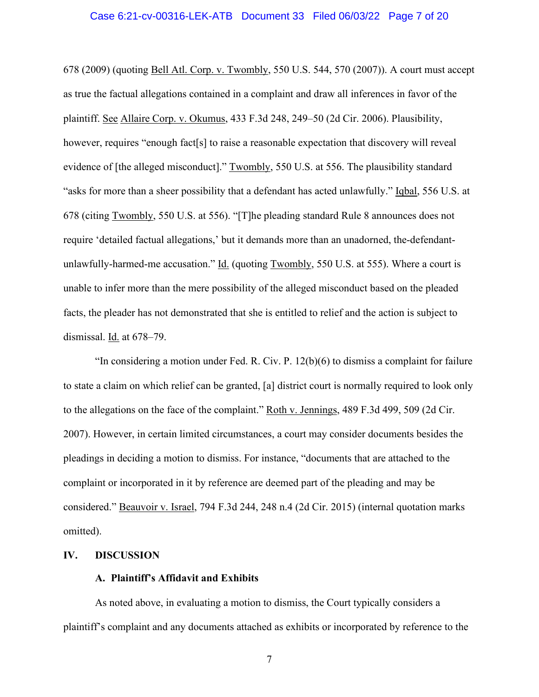### Case 6:21-cv-00316-LEK-ATB Document 33 Filed 06/03/22 Page 7 of 20

678 (2009) (quoting Bell Atl. Corp. v. Twombly, 550 U.S. 544, 570 (2007)). A court must accept as true the factual allegations contained in a complaint and draw all inferences in favor of the plaintiff. See Allaire Corp. v. Okumus, 433 F.3d 248, 249–50 (2d Cir. 2006). Plausibility, however, requires "enough fact[s] to raise a reasonable expectation that discovery will reveal evidence of [the alleged misconduct]." Twombly, 550 U.S. at 556. The plausibility standard "asks for more than a sheer possibility that a defendant has acted unlawfully." Iqbal, 556 U.S. at 678 (citing Twombly, 550 U.S. at 556). "[T]he pleading standard Rule 8 announces does not require 'detailed factual allegations,' but it demands more than an unadorned, the-defendantunlawfully-harmed-me accusation." Id. (quoting Twombly, 550 U.S. at 555). Where a court is unable to infer more than the mere possibility of the alleged misconduct based on the pleaded facts, the pleader has not demonstrated that she is entitled to relief and the action is subject to dismissal. Id. at 678–79.

"In considering a motion under Fed. R. Civ. P. 12(b)(6) to dismiss a complaint for failure to state a claim on which relief can be granted, [a] district court is normally required to look only to the allegations on the face of the complaint." Roth v. Jennings, 489 F.3d 499, 509 (2d Cir. 2007). However, in certain limited circumstances, a court may consider documents besides the pleadings in deciding a motion to dismiss. For instance, "documents that are attached to the complaint or incorporated in it by reference are deemed part of the pleading and may be considered." Beauvoir v. Israel, 794 F.3d 244, 248 n.4 (2d Cir. 2015) (internal quotation marks omitted).

### **IV. DISCUSSION**

### **A. Plaintiff's Affidavit and Exhibits**

As noted above, in evaluating a motion to dismiss, the Court typically considers a plaintiff's complaint and any documents attached as exhibits or incorporated by reference to the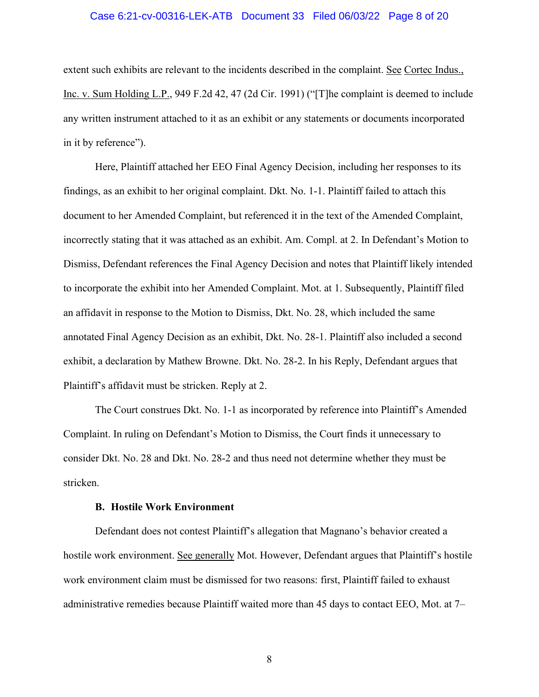### Case 6:21-cv-00316-LEK-ATB Document 33 Filed 06/03/22 Page 8 of 20

extent such exhibits are relevant to the incidents described in the complaint. See Cortec Indus., Inc. v. Sum Holding L.P., 949 F.2d 42, 47 (2d Cir. 1991) ("[T]he complaint is deemed to include any written instrument attached to it as an exhibit or any statements or documents incorporated in it by reference").

Here, Plaintiff attached her EEO Final Agency Decision, including her responses to its findings, as an exhibit to her original complaint. Dkt. No. 1-1. Plaintiff failed to attach this document to her Amended Complaint, but referenced it in the text of the Amended Complaint, incorrectly stating that it was attached as an exhibit. Am. Compl. at 2. In Defendant's Motion to Dismiss, Defendant references the Final Agency Decision and notes that Plaintiff likely intended to incorporate the exhibit into her Amended Complaint. Mot. at 1. Subsequently, Plaintiff filed an affidavit in response to the Motion to Dismiss, Dkt. No. 28, which included the same annotated Final Agency Decision as an exhibit, Dkt. No. 28-1. Plaintiff also included a second exhibit, a declaration by Mathew Browne. Dkt. No. 28-2. In his Reply, Defendant argues that Plaintiff's affidavit must be stricken. Reply at 2.

The Court construes Dkt. No. 1-1 as incorporated by reference into Plaintiff's Amended Complaint. In ruling on Defendant's Motion to Dismiss, the Court finds it unnecessary to consider Dkt. No. 28 and Dkt. No. 28-2 and thus need not determine whether they must be stricken.

#### **B. Hostile Work Environment**

Defendant does not contest Plaintiff's allegation that Magnano's behavior created a hostile work environment. See generally Mot. However, Defendant argues that Plaintiff's hostile work environment claim must be dismissed for two reasons: first, Plaintiff failed to exhaust administrative remedies because Plaintiff waited more than 45 days to contact EEO, Mot. at 7–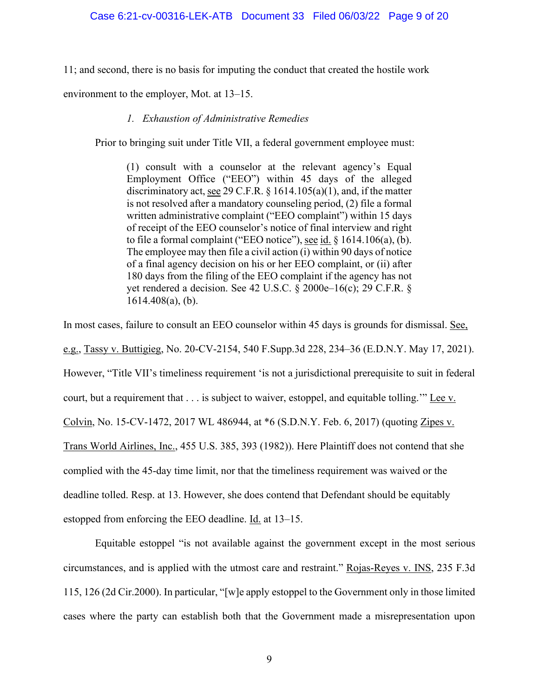11; and second, there is no basis for imputing the conduct that created the hostile work

environment to the employer, Mot. at 13–15.

## *1. Exhaustion of Administrative Remedies*

Prior to bringing suit under Title VII, a federal government employee must:

(1) consult with a counselor at the relevant agency's Equal Employment Office ("EEO") within 45 days of the alleged discriminatory act, see 29 C.F.R.  $\S$  1614.105(a)(1), and, if the matter is not resolved after a mandatory counseling period, (2) file a formal written administrative complaint ("EEO complaint") within 15 days of receipt of the EEO counselor's notice of final interview and right to file a formal complaint ("EEO notice"), see id.  $\S$  1614.106(a), (b). The employee may then file a civil action (i) within 90 days of notice of a final agency decision on his or her EEO complaint, or (ii) after 180 days from the filing of the EEO complaint if the agency has not yet rendered a decision. See 42 U.S.C. § 2000e–16(c); 29 C.F.R. § 1614.408(a), (b).

In most cases, failure to consult an EEO counselor within 45 days is grounds for dismissal. See, e.g., Tassy v. Buttigieg, No. 20-CV-2154, 540 F.Supp.3d 228, 234–36 (E.D.N.Y. May 17, 2021). However, "Title VII's timeliness requirement 'is not a jurisdictional prerequisite to suit in federal court, but a requirement that . . . is subject to waiver, estoppel, and equitable tolling.'" Lee v. Colvin, No. 15-CV-1472, 2017 WL 486944, at \*6 (S.D.N.Y. Feb. 6, 2017) (quoting Zipes v. Trans World Airlines, Inc., 455 U.S. 385, 393 (1982)). Here Plaintiff does not contend that she complied with the 45-day time limit, nor that the timeliness requirement was waived or the deadline tolled. Resp. at 13. However, she does contend that Defendant should be equitably estopped from enforcing the EEO deadline. Id. at 13–15.

Equitable estoppel "is not available against the government except in the most serious circumstances, and is applied with the utmost care and restraint." Rojas-Reyes v. INS, 235 F.3d 115, 126 (2d Cir.2000). In particular, "[w]e apply estoppel to the Government only in those limited cases where the party can establish both that the Government made a misrepresentation upon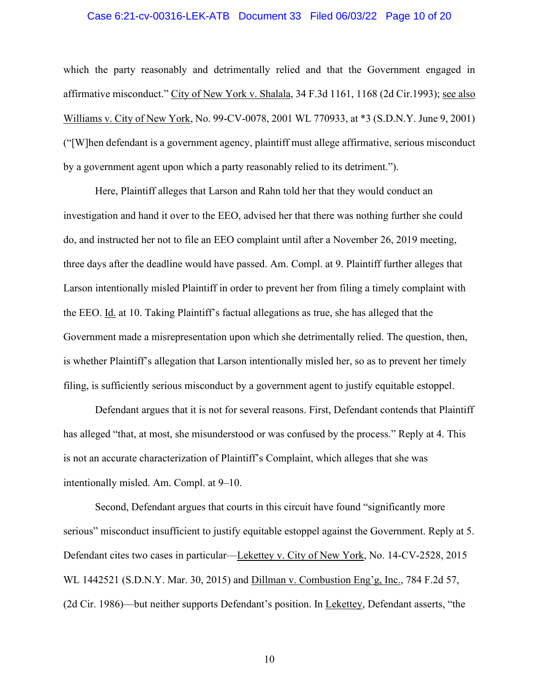### Case 6:21-cv-00316-LEK-ATB Document 33 Filed 06/03/22 Page 10 of 20

which the party reasonably and detrimentally relied and that the Government engaged in affirmative misconduct." City of New York v. Shalala, 34 F.3d 1161, 1168 (2d Cir.1993); see also Williams v. City of New York, No. 99-CV-0078, 2001 WL 770933, at \*3 (S.D.N.Y. June 9, 2001) ("[W]hen defendant is a government agency, plaintiff must allege affirmative, serious misconduct by a government agent upon which a party reasonably relied to its detriment.").

Here, Plaintiff alleges that Larson and Rahn told her that they would conduct an investigation and hand it over to the EEO, advised her that there was nothing further she could do, and instructed her not to file an EEO complaint until after a November 26, 2019 meeting, three days after the deadline would have passed. Am. Compl. at 9. Plaintiff further alleges that Larson intentionally misled Plaintiff in order to prevent her from filing a timely complaint with the EEO. Id. at 10. Taking Plaintiff's factual allegations as true, she has alleged that the Government made a misrepresentation upon which she detrimentally relied. The question, then, is whether Plaintiff's allegation that Larson intentionally misled her, so as to prevent her timely filing, is sufficiently serious misconduct by a government agent to justify equitable estoppel.

Defendant argues that it is not for several reasons. First, Defendant contends that Plaintiff has alleged "that, at most, she misunderstood or was confused by the process." Reply at 4. This is not an accurate characterization of Plaintiff's Complaint, which alleges that she was intentionally misled. Am. Compl. at 9–10.

Second, Defendant argues that courts in this circuit have found "significantly more serious" misconduct insufficient to justify equitable estoppel against the Government. Reply at 5. Defendant cites two cases in particular—Lekettey v. City of New York, No. 14-CV-2528, 2015 WL 1442521 (S.D.N.Y. Mar. 30, 2015) and Dillman v. Combustion Eng'g, Inc., 784 F.2d 57, (2d Cir. 1986)—but neither supports Defendant's position. In Lekettey, Defendant asserts, "the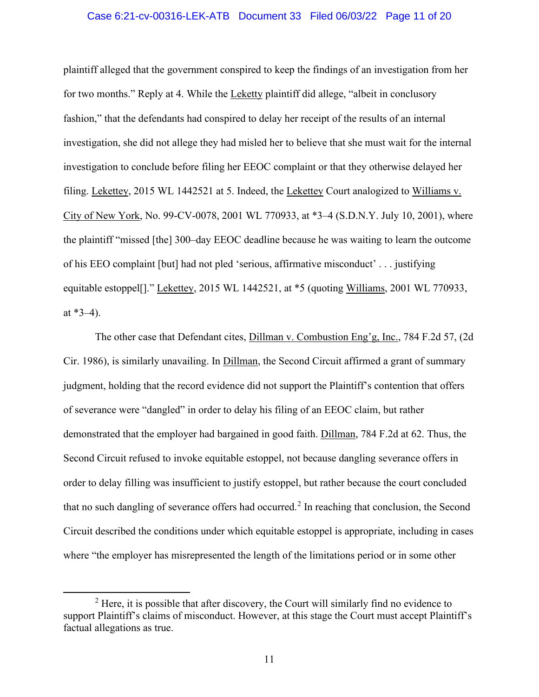### Case 6:21-cv-00316-LEK-ATB Document 33 Filed 06/03/22 Page 11 of 20

plaintiff alleged that the government conspired to keep the findings of an investigation from her for two months." Reply at 4. While the Leketty plaintiff did allege, "albeit in conclusory fashion," that the defendants had conspired to delay her receipt of the results of an internal investigation, she did not allege they had misled her to believe that she must wait for the internal investigation to conclude before filing her EEOC complaint or that they otherwise delayed her filing. Lekettey, 2015 WL 1442521 at 5. Indeed, the Lekettey Court analogized to Williams v. City of New York, No. 99-CV-0078, 2001 WL 770933, at \*3–4 (S.D.N.Y. July 10, 2001), where the plaintiff "missed [the] 300–day EEOC deadline because he was waiting to learn the outcome of his EEO complaint [but] had not pled 'serious, affirmative misconduct' . . . justifying equitable estoppel[]." Lekettey, 2015 WL 1442521, at \*5 (quoting Williams, 2001 WL 770933, at  $*3-4$ ).

The other case that Defendant cites, Dillman v. Combustion Eng'g, Inc., 784 F.2d 57, (2d Cir. 1986), is similarly unavailing. In Dillman, the Second Circuit affirmed a grant of summary judgment, holding that the record evidence did not support the Plaintiff's contention that offers of severance were "dangled" in order to delay his filing of an EEOC claim, but rather demonstrated that the employer had bargained in good faith. Dillman, 784 F.2d at 62. Thus, the Second Circuit refused to invoke equitable estoppel, not because dangling severance offers in order to delay filling was insufficient to justify estoppel, but rather because the court concluded that no such dangling of severance offers had occurred.<sup>2</sup> In reaching that conclusion, the Second Circuit described the conditions under which equitable estoppel is appropriate, including in cases where "the employer has misrepresented the length of the limitations period or in some other

 $2$  Here, it is possible that after discovery, the Court will similarly find no evidence to support Plaintiff's claims of misconduct. However, at this stage the Court must accept Plaintiff's factual allegations as true.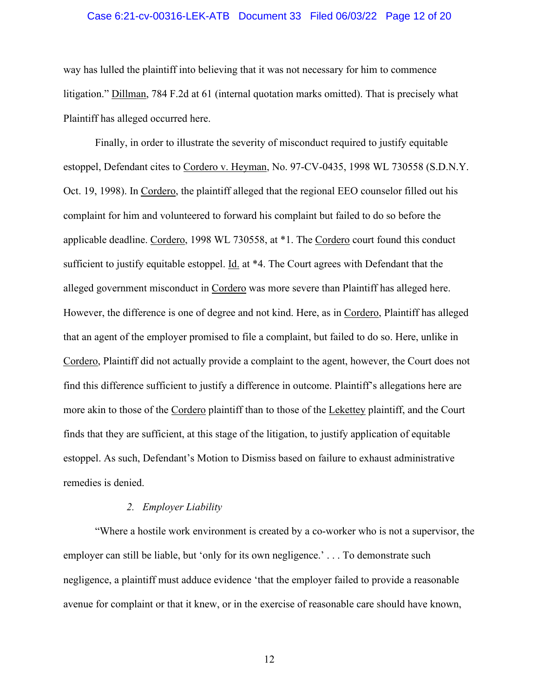### Case 6:21-cv-00316-LEK-ATB Document 33 Filed 06/03/22 Page 12 of 20

way has lulled the plaintiff into believing that it was not necessary for him to commence litigation." Dillman, 784 F.2d at 61 (internal quotation marks omitted). That is precisely what Plaintiff has alleged occurred here.

Finally, in order to illustrate the severity of misconduct required to justify equitable estoppel, Defendant cites to Cordero v. Heyman, No. 97-CV-0435, 1998 WL 730558 (S.D.N.Y. Oct. 19, 1998). In Cordero, the plaintiff alleged that the regional EEO counselor filled out his complaint for him and volunteered to forward his complaint but failed to do so before the applicable deadline. Cordero, 1998 WL 730558, at \*1. The Cordero court found this conduct sufficient to justify equitable estoppel. Id. at \*4. The Court agrees with Defendant that the alleged government misconduct in Cordero was more severe than Plaintiff has alleged here. However, the difference is one of degree and not kind. Here, as in Cordero, Plaintiff has alleged that an agent of the employer promised to file a complaint, but failed to do so. Here, unlike in Cordero, Plaintiff did not actually provide a complaint to the agent, however, the Court does not find this difference sufficient to justify a difference in outcome. Plaintiff's allegations here are more akin to those of the Cordero plaintiff than to those of the Lekettey plaintiff, and the Court finds that they are sufficient, at this stage of the litigation, to justify application of equitable estoppel. As such, Defendant's Motion to Dismiss based on failure to exhaust administrative remedies is denied.

#### *2. Employer Liability*

"Where a hostile work environment is created by a co-worker who is not a supervisor, the employer can still be liable, but 'only for its own negligence.' . . . To demonstrate such negligence, a plaintiff must adduce evidence 'that the employer failed to provide a reasonable avenue for complaint or that it knew, or in the exercise of reasonable care should have known,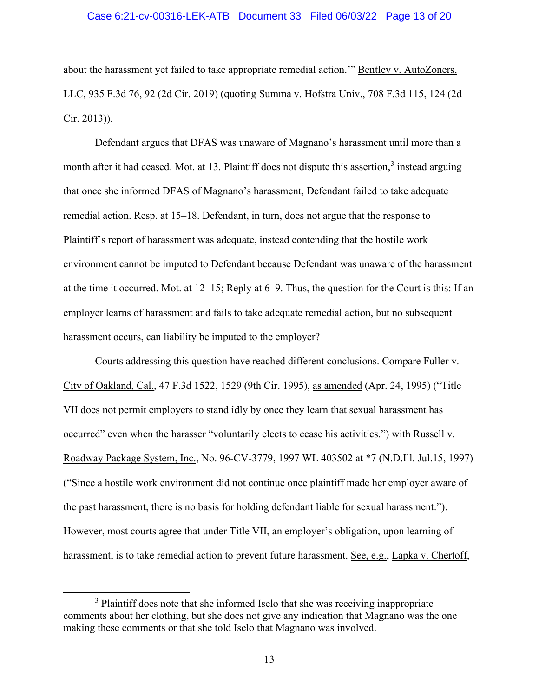### Case 6:21-cv-00316-LEK-ATB Document 33 Filed 06/03/22 Page 13 of 20

about the harassment yet failed to take appropriate remedial action." Bentley v. AutoZoners, LLC, 935 F.3d 76, 92 (2d Cir. 2019) (quoting Summa v. Hofstra Univ., 708 F.3d 115, 124 (2d Cir. 2013)).

Defendant argues that DFAS was unaware of Magnano's harassment until more than a month after it had ceased. Mot. at 13. Plaintiff does not dispute this assertion,<sup>3</sup> instead arguing that once she informed DFAS of Magnano's harassment, Defendant failed to take adequate remedial action. Resp. at 15–18. Defendant, in turn, does not argue that the response to Plaintiff's report of harassment was adequate, instead contending that the hostile work environment cannot be imputed to Defendant because Defendant was unaware of the harassment at the time it occurred. Mot. at 12–15; Reply at 6–9. Thus, the question for the Court is this: If an employer learns of harassment and fails to take adequate remedial action, but no subsequent harassment occurs, can liability be imputed to the employer?

 Courts addressing this question have reached different conclusions. Compare Fuller v. City of Oakland, Cal., 47 F.3d 1522, 1529 (9th Cir. 1995), as amended (Apr. 24, 1995) ("Title VII does not permit employers to stand idly by once they learn that sexual harassment has occurred" even when the harasser "voluntarily elects to cease his activities.") with Russell v. Roadway Package System, Inc., No. 96-CV-3779, 1997 WL 403502 at \*7 (N.D.Ill. Jul.15, 1997) ("Since a hostile work environment did not continue once plaintiff made her employer aware of the past harassment, there is no basis for holding defendant liable for sexual harassment."). However, most courts agree that under Title VII, an employer's obligation, upon learning of harassment, is to take remedial action to prevent future harassment. See, e.g., Lapka v. Chertoff,

<sup>&</sup>lt;sup>3</sup> Plaintiff does note that she informed Iselo that she was receiving inappropriate comments about her clothing, but she does not give any indication that Magnano was the one making these comments or that she told Iselo that Magnano was involved.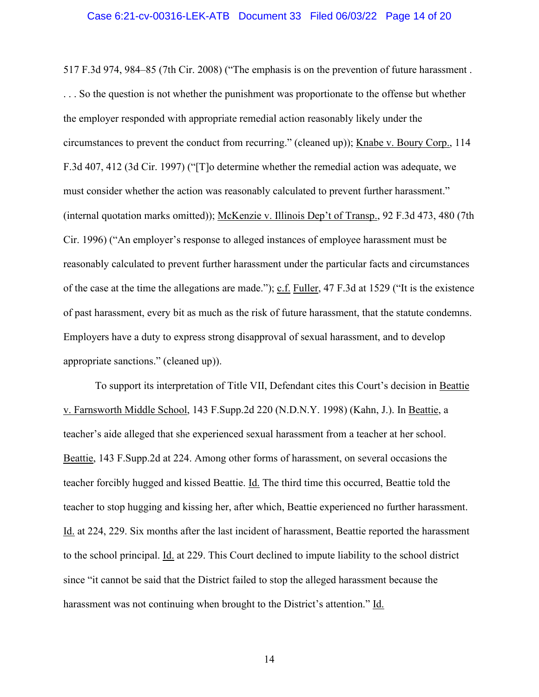### Case 6:21-cv-00316-LEK-ATB Document 33 Filed 06/03/22 Page 14 of 20

517 F.3d 974, 984–85 (7th Cir. 2008) ("The emphasis is on the prevention of future harassment . . . . So the question is not whether the punishment was proportionate to the offense but whether the employer responded with appropriate remedial action reasonably likely under the circumstances to prevent the conduct from recurring." (cleaned up)); Knabe v. Boury Corp., 114 F.3d 407, 412 (3d Cir. 1997) ("[T]o determine whether the remedial action was adequate, we must consider whether the action was reasonably calculated to prevent further harassment." (internal quotation marks omitted)); McKenzie v. Illinois Dep't of Transp., 92 F.3d 473, 480 (7th Cir. 1996) ("An employer's response to alleged instances of employee harassment must be reasonably calculated to prevent further harassment under the particular facts and circumstances of the case at the time the allegations are made."); c.f. Fuller, 47 F.3d at 1529 ("It is the existence of past harassment, every bit as much as the risk of future harassment, that the statute condemns. Employers have a duty to express strong disapproval of sexual harassment, and to develop appropriate sanctions." (cleaned up)).

To support its interpretation of Title VII, Defendant cites this Court's decision in Beattie v. Farnsworth Middle School, 143 F.Supp.2d 220 (N.D.N.Y. 1998) (Kahn, J.). In Beattie, a teacher's aide alleged that she experienced sexual harassment from a teacher at her school. Beattie, 143 F.Supp.2d at 224. Among other forms of harassment, on several occasions the teacher forcibly hugged and kissed Beattie. Id. The third time this occurred, Beattie told the teacher to stop hugging and kissing her, after which, Beattie experienced no further harassment. Id. at 224, 229. Six months after the last incident of harassment, Beattie reported the harassment to the school principal. Id. at 229. This Court declined to impute liability to the school district since "it cannot be said that the District failed to stop the alleged harassment because the harassment was not continuing when brought to the District's attention." Id.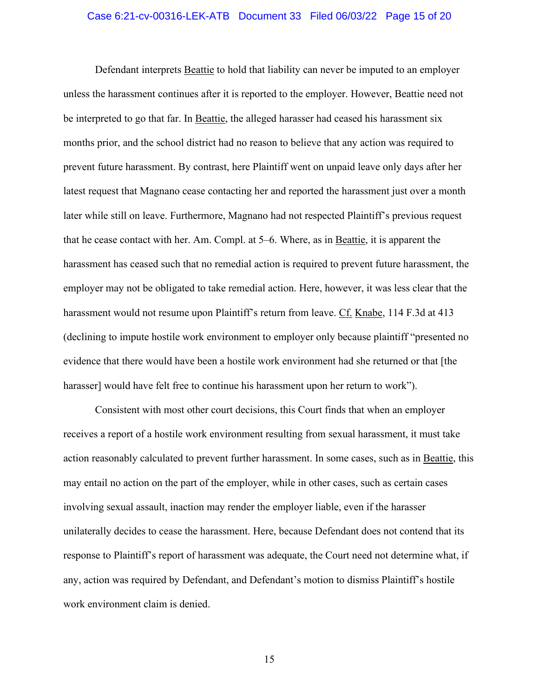### Case 6:21-cv-00316-LEK-ATB Document 33 Filed 06/03/22 Page 15 of 20

Defendant interprets Beattie to hold that liability can never be imputed to an employer unless the harassment continues after it is reported to the employer. However, Beattie need not be interpreted to go that far. In Beattie, the alleged harasser had ceased his harassment six months prior, and the school district had no reason to believe that any action was required to prevent future harassment. By contrast, here Plaintiff went on unpaid leave only days after her latest request that Magnano cease contacting her and reported the harassment just over a month later while still on leave. Furthermore, Magnano had not respected Plaintiff's previous request that he cease contact with her. Am. Compl. at 5–6. Where, as in Beattie, it is apparent the harassment has ceased such that no remedial action is required to prevent future harassment, the employer may not be obligated to take remedial action. Here, however, it was less clear that the harassment would not resume upon Plaintiff's return from leave. Cf. Knabe, 114 F.3d at 413 (declining to impute hostile work environment to employer only because plaintiff "presented no evidence that there would have been a hostile work environment had she returned or that [the harasser] would have felt free to continue his harassment upon her return to work").

Consistent with most other court decisions, this Court finds that when an employer receives a report of a hostile work environment resulting from sexual harassment, it must take action reasonably calculated to prevent further harassment. In some cases, such as in Beattie, this may entail no action on the part of the employer, while in other cases, such as certain cases involving sexual assault, inaction may render the employer liable, even if the harasser unilaterally decides to cease the harassment. Here, because Defendant does not contend that its response to Plaintiff's report of harassment was adequate, the Court need not determine what, if any, action was required by Defendant, and Defendant's motion to dismiss Plaintiff's hostile work environment claim is denied.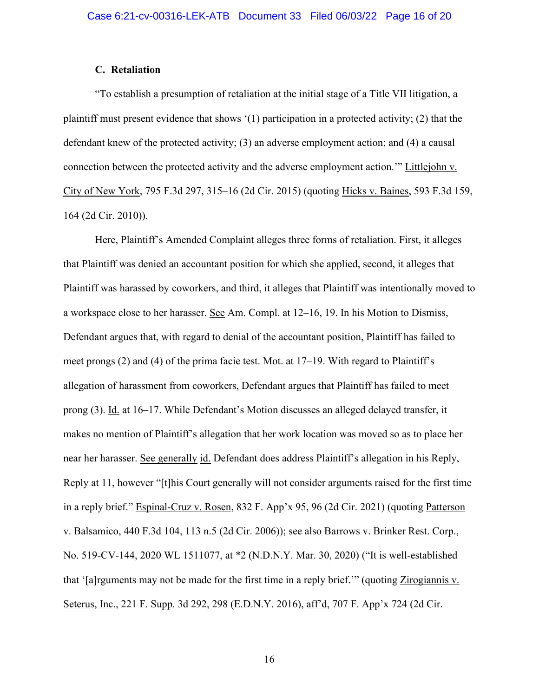### **C. Retaliation**

"To establish a presumption of retaliation at the initial stage of a Title VII litigation, a plaintiff must present evidence that shows '(1) participation in a protected activity; (2) that the defendant knew of the protected activity; (3) an adverse employment action; and (4) a causal connection between the protected activity and the adverse employment action.'" Littlejohn v. City of New York, 795 F.3d 297, 315–16 (2d Cir. 2015) (quoting Hicks v. Baines, 593 F.3d 159, 164 (2d Cir. 2010)).

Here, Plaintiff's Amended Complaint alleges three forms of retaliation. First, it alleges that Plaintiff was denied an accountant position for which she applied, second, it alleges that Plaintiff was harassed by coworkers, and third, it alleges that Plaintiff was intentionally moved to a workspace close to her harasser. See Am. Compl. at 12–16, 19. In his Motion to Dismiss, Defendant argues that, with regard to denial of the accountant position, Plaintiff has failed to meet prongs (2) and (4) of the prima facie test. Mot. at 17–19. With regard to Plaintiff's allegation of harassment from coworkers, Defendant argues that Plaintiff has failed to meet prong (3). Id. at 16–17. While Defendant's Motion discusses an alleged delayed transfer, it makes no mention of Plaintiff's allegation that her work location was moved so as to place her near her harasser. See generally id. Defendant does address Plaintiff's allegation in his Reply, Reply at 11, however "[t]his Court generally will not consider arguments raised for the first time in a reply brief." Espinal-Cruz v. Rosen, 832 F. App'x 95, 96 (2d Cir. 2021) (quoting Patterson v. Balsamico, 440 F.3d 104, 113 n.5 (2d Cir. 2006)); see also Barrows v. Brinker Rest. Corp., No. 519-CV-144, 2020 WL 1511077, at \*2 (N.D.N.Y. Mar. 30, 2020) ("It is well-established that '[a]rguments may not be made for the first time in a reply brief.'" (quoting Zirogiannis v. Seterus, Inc., 221 F. Supp. 3d 292, 298 (E.D.N.Y. 2016), aff'd, 707 F. App'x 724 (2d Cir.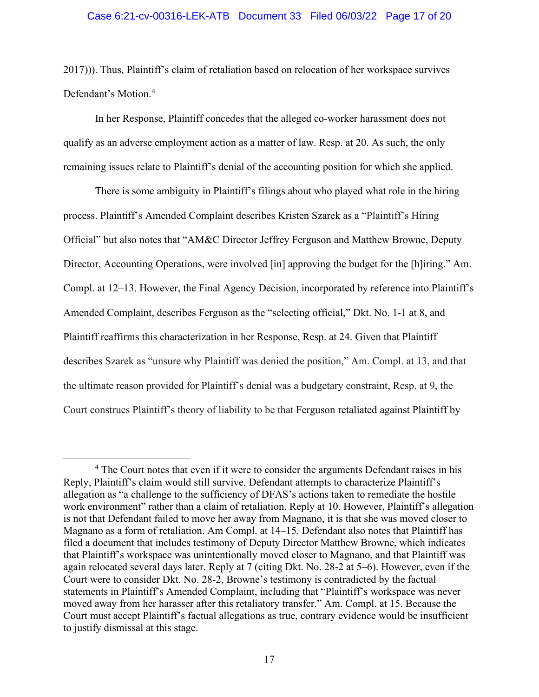### Case 6:21-cv-00316-LEK-ATB Document 33 Filed 06/03/22 Page 17 of 20

2017))). Thus, Plaintiff's claim of retaliation based on relocation of her workspace survives Defendant's Motion.<sup>4</sup>

 In her Response, Plaintiff concedes that the alleged co-worker harassment does not qualify as an adverse employment action as a matter of law. Resp. at 20. As such, the only remaining issues relate to Plaintiff's denial of the accounting position for which she applied.

There is some ambiguity in Plaintiff's filings about who played what role in the hiring process. Plaintiff's Amended Complaint describes Kristen Szarek as a "Plaintiff's Hiring Official" but also notes that "AM&C Director Jeffrey Ferguson and Matthew Browne, Deputy Director, Accounting Operations, were involved [in] approving the budget for the [h]iring." Am. Compl. at 12–13. However, the Final Agency Decision, incorporated by reference into Plaintiff's Amended Complaint, describes Ferguson as the "selecting official," Dkt. No. 1-1 at 8, and Plaintiff reaffirms this characterization in her Response, Resp. at 24. Given that Plaintiff describes Szarek as "unsure why Plaintiff was denied the position," Am. Compl. at 13, and that the ultimate reason provided for Plaintiff's denial was a budgetary constraint, Resp. at 9, the Court construes Plaintiff's theory of liability to be that Ferguson retaliated against Plaintiff by

<sup>&</sup>lt;sup>4</sup> The Court notes that even if it were to consider the arguments Defendant raises in his Reply, Plaintiff's claim would still survive. Defendant attempts to characterize Plaintiff's allegation as "a challenge to the sufficiency of DFAS's actions taken to remediate the hostile work environment" rather than a claim of retaliation. Reply at 10. However, Plaintiff's allegation is not that Defendant failed to move her away from Magnano, it is that she was moved closer to Magnano as a form of retaliation. Am Compl. at 14–15. Defendant also notes that Plaintiff has filed a document that includes testimony of Deputy Director Matthew Browne, which indicates that Plaintiff's workspace was unintentionally moved closer to Magnano, and that Plaintiff was again relocated several days later. Reply at 7 (citing Dkt. No. 28-2 at 5–6). However, even if the Court were to consider Dkt. No. 28-2, Browne's testimony is contradicted by the factual statements in Plaintiff's Amended Complaint, including that "Plaintiff's workspace was never moved away from her harasser after this retaliatory transfer." Am. Compl. at 15. Because the Court must accept Plaintiff's factual allegations as true, contrary evidence would be insufficient to justify dismissal at this stage.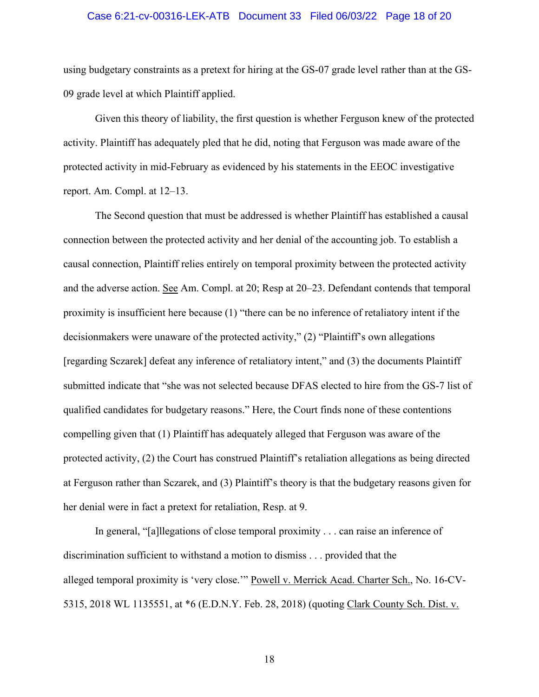### Case 6:21-cv-00316-LEK-ATB Document 33 Filed 06/03/22 Page 18 of 20

using budgetary constraints as a pretext for hiring at the GS-07 grade level rather than at the GS-09 grade level at which Plaintiff applied.

Given this theory of liability, the first question is whether Ferguson knew of the protected activity. Plaintiff has adequately pled that he did, noting that Ferguson was made aware of the protected activity in mid-February as evidenced by his statements in the EEOC investigative report. Am. Compl. at 12–13.

The Second question that must be addressed is whether Plaintiff has established a causal connection between the protected activity and her denial of the accounting job. To establish a causal connection, Plaintiff relies entirely on temporal proximity between the protected activity and the adverse action. See Am. Compl. at 20; Resp at 20–23. Defendant contends that temporal proximity is insufficient here because (1) "there can be no inference of retaliatory intent if the decisionmakers were unaware of the protected activity," (2) "Plaintiff's own allegations [regarding Sczarek] defeat any inference of retaliatory intent," and (3) the documents Plaintiff submitted indicate that "she was not selected because DFAS elected to hire from the GS-7 list of qualified candidates for budgetary reasons." Here, the Court finds none of these contentions compelling given that (1) Plaintiff has adequately alleged that Ferguson was aware of the protected activity, (2) the Court has construed Plaintiff's retaliation allegations as being directed at Ferguson rather than Sczarek, and (3) Plaintiff's theory is that the budgetary reasons given for her denial were in fact a pretext for retaliation, Resp. at 9.

In general, "[a]llegations of close temporal proximity . . . can raise an inference of discrimination sufficient to withstand a motion to dismiss . . . provided that the alleged temporal proximity is 'very close.'" Powell v. Merrick Acad. Charter Sch., No. 16-CV-5315, 2018 WL 1135551, at \*6 (E.D.N.Y. Feb. 28, 2018) (quoting Clark County Sch. Dist. v.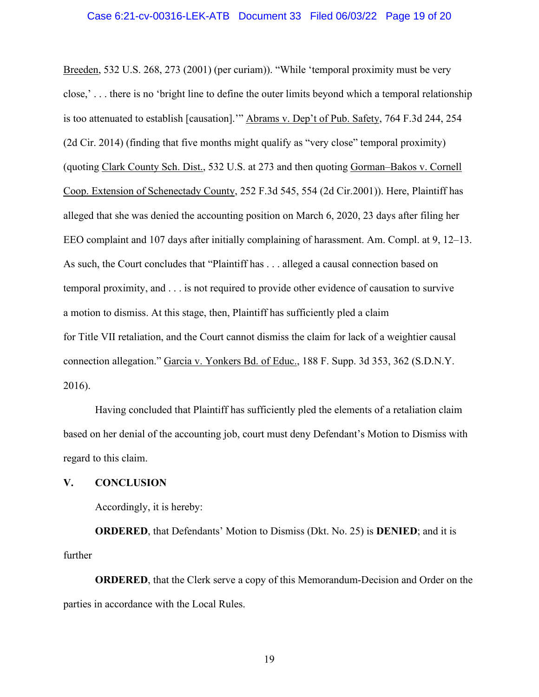### Case 6:21-cv-00316-LEK-ATB Document 33 Filed 06/03/22 Page 19 of 20

Breeden, 532 U.S. 268, 273 (2001) (per curiam)). "While 'temporal proximity must be very close,' . . . there is no 'bright line to define the outer limits beyond which a temporal relationship is too attenuated to establish [causation].'" Abrams v. Dep't of Pub. Safety, 764 F.3d 244, 254 (2d Cir. 2014) (finding that five months might qualify as "very close" temporal proximity) (quoting Clark County Sch. Dist., 532 U.S. at 273 and then quoting Gorman–Bakos v. Cornell Coop. Extension of Schenectady County, 252 F.3d 545, 554 (2d Cir.2001)). Here, Plaintiff has alleged that she was denied the accounting position on March 6, 2020, 23 days after filing her EEO complaint and 107 days after initially complaining of harassment. Am. Compl. at 9, 12–13. As such, the Court concludes that "Plaintiff has . . . alleged a causal connection based on temporal proximity, and . . . is not required to provide other evidence of causation to survive a motion to dismiss. At this stage, then, Plaintiff has sufficiently pled a claim for Title VII retaliation, and the Court cannot dismiss the claim for lack of a weightier causal connection allegation." Garcia v. Yonkers Bd. of Educ., 188 F. Supp. 3d 353, 362 (S.D.N.Y. 2016).

Having concluded that Plaintiff has sufficiently pled the elements of a retaliation claim based on her denial of the accounting job, court must deny Defendant's Motion to Dismiss with regard to this claim.

### **V. CONCLUSION**

Accordingly, it is hereby:

**ORDERED**, that Defendants' Motion to Dismiss (Dkt. No. 25) is **DENIED**; and it is further

**ORDERED**, that the Clerk serve a copy of this Memorandum-Decision and Order on the parties in accordance with the Local Rules.